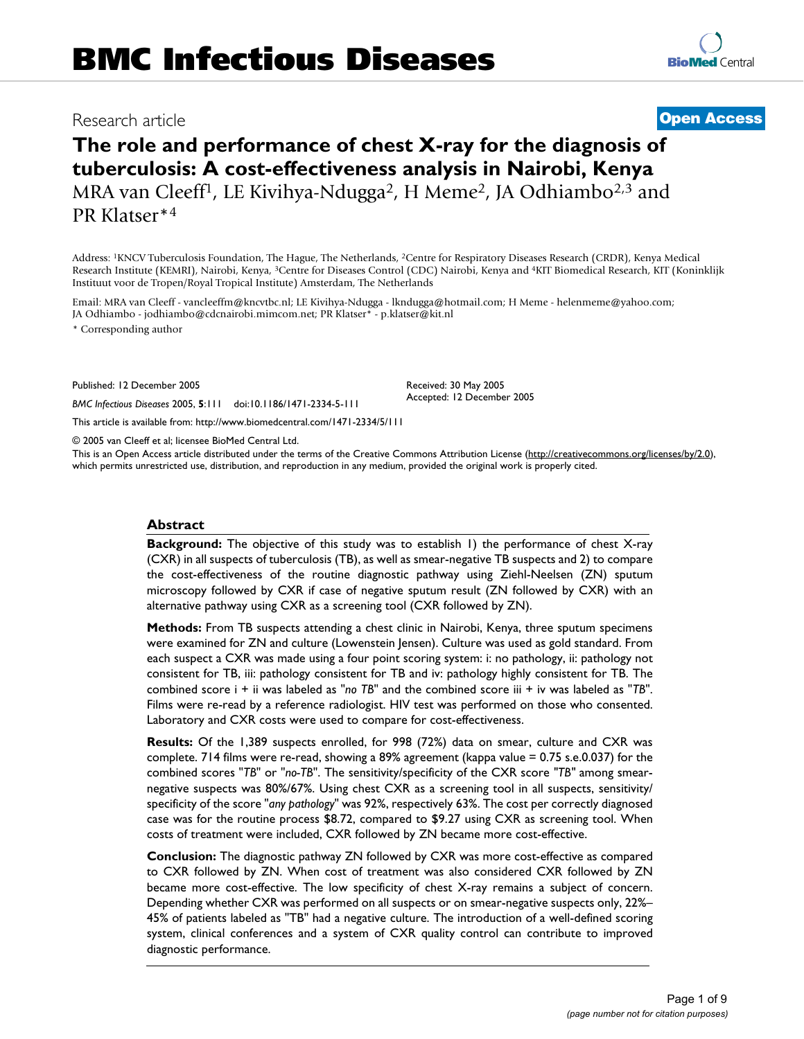# Research article **[Open Access](http://www.biomedcentral.com/info/about/charter/)**

# **The role and performance of chest X-ray for the diagnosis of tuberculosis: A cost-effectiveness analysis in Nairobi, Kenya** MRA van Cleeff<sup>1</sup>, LE Kivihya-Ndugga<sup>2</sup>, H Meme<sup>2</sup>, JA Odhiambo<sup>2,3</sup> and PR Klatser\*4

Address: 1KNCV Tuberculosis Foundation, The Hague, The Netherlands, 2Centre for Respiratory Diseases Research (CRDR), Kenya Medical Research Institute (KEMRI), Nairobi, Kenya, 3Centre for Diseases Control (CDC) Nairobi, Kenya and 4KIT Biomedical Research, KIT (Koninklijk Instituut voor de Tropen/Royal Tropical Institute) Amsterdam, The Netherlands

Email: MRA van Cleeff - vancleeffm@kncvtbc.nl; LE Kivihya-Ndugga - lkndugga@hotmail.com; H Meme - helenmeme@yahoo.com; JA Odhiambo - jodhiambo@cdcnairobi.mimcom.net; PR Klatser\* - p.klatser@kit.nl

\* Corresponding author

Published: 12 December 2005

*BMC Infectious Diseases* 2005, **5**:111 doi:10.1186/1471-2334-5-111

[This article is available from: http://www.biomedcentral.com/1471-2334/5/111](http://www.biomedcentral.com/1471-2334/5/111)

© 2005 van Cleeff et al; licensee BioMed Central Ltd.

This is an Open Access article distributed under the terms of the Creative Commons Attribution License [\(http://creativecommons.org/licenses/by/2.0\)](http://creativecommons.org/licenses/by/2.0), which permits unrestricted use, distribution, and reproduction in any medium, provided the original work is properly cited.

Received: 30 May 2005 Accepted: 12 December 2005

#### **Abstract**

**Background:** The objective of this study was to establish 1) the performance of chest X-ray (CXR) in all suspects of tuberculosis (TB), as well as smear-negative TB suspects and 2) to compare the cost-effectiveness of the routine diagnostic pathway using Ziehl-Neelsen (ZN) sputum microscopy followed by CXR if case of negative sputum result (ZN followed by CXR) with an alternative pathway using CXR as a screening tool (CXR followed by ZN).

**Methods:** From TB suspects attending a chest clinic in Nairobi, Kenya, three sputum specimens were examined for ZN and culture (Lowenstein Jensen). Culture was used as gold standard. From each suspect a CXR was made using a four point scoring system: i: no pathology, ii: pathology not consistent for TB, iii: pathology consistent for TB and iv: pathology highly consistent for TB. The combined score i + ii was labeled as "*no TB*" and the combined score iii + iv was labeled as "*TB*". Films were re-read by a reference radiologist. HIV test was performed on those who consented. Laboratory and CXR costs were used to compare for cost-effectiveness.

**Results:** Of the 1,389 suspects enrolled, for 998 (72%) data on smear, culture and CXR was complete. 714 films were re-read, showing a 89% agreement (kappa value = 0.75 s.e.0.037) for the combined scores "*TB*" or "*no-TB*". The sensitivity/specificity of the CXR score *"TB"* among smearnegative suspects was 80%/67%. Using chest CXR as a screening tool in all suspects, sensitivity/ specificity of the score "*any pathology*" was 92%, respectively 63%. The cost per correctly diagnosed case was for the routine process \$8.72, compared to \$9.27 using CXR as screening tool. When costs of treatment were included, CXR followed by ZN became more cost-effective.

**Conclusion:** The diagnostic pathway ZN followed by CXR was more cost-effective as compared to CXR followed by ZN. When cost of treatment was also considered CXR followed by ZN became more cost-effective. The low specificity of chest X-ray remains a subject of concern. Depending whether CXR was performed on all suspects or on smear-negative suspects only, 22%– 45% of patients labeled as "TB" had a negative culture. The introduction of a well-defined scoring system, clinical conferences and a system of CXR quality control can contribute to improved diagnostic performance.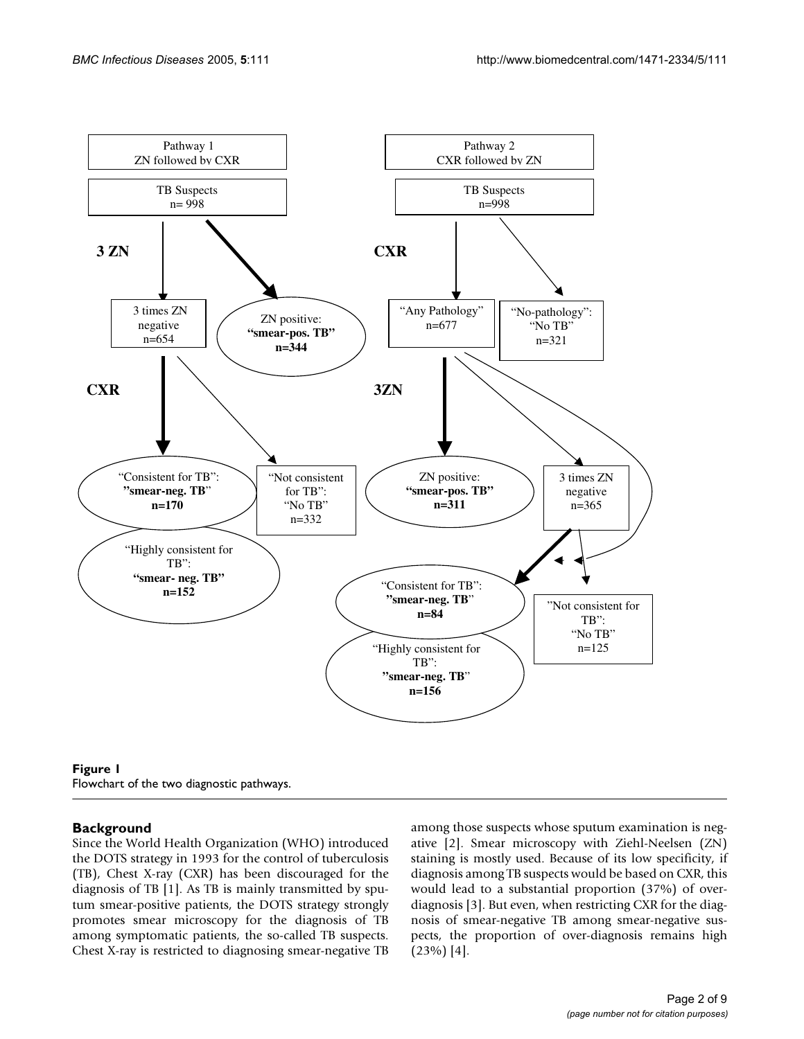

Flowchart of the two diagnostic pathways.

# **Background**

Since the World Health Organization (WHO) introduced the DOTS strategy in 1993 for the control of tuberculosis (TB), Chest X-ray (CXR) has been discouraged for the diagnosis of TB [1]. As TB is mainly transmitted by sputum smear-positive patients, the DOTS strategy strongly promotes smear microscopy for the diagnosis of TB among symptomatic patients, the so-called TB suspects. Chest X-ray is restricted to diagnosing smear-negative TB among those suspects whose sputum examination is negative [2]. Smear microscopy with Ziehl-Neelsen (ZN) staining is mostly used. Because of its low specificity, if diagnosis among TB suspects would be based on CXR, this would lead to a substantial proportion (37%) of overdiagnosis [3]. But even, when restricting CXR for the diagnosis of smear-negative TB among smear-negative suspects, the proportion of over-diagnosis remains high (23%) [4].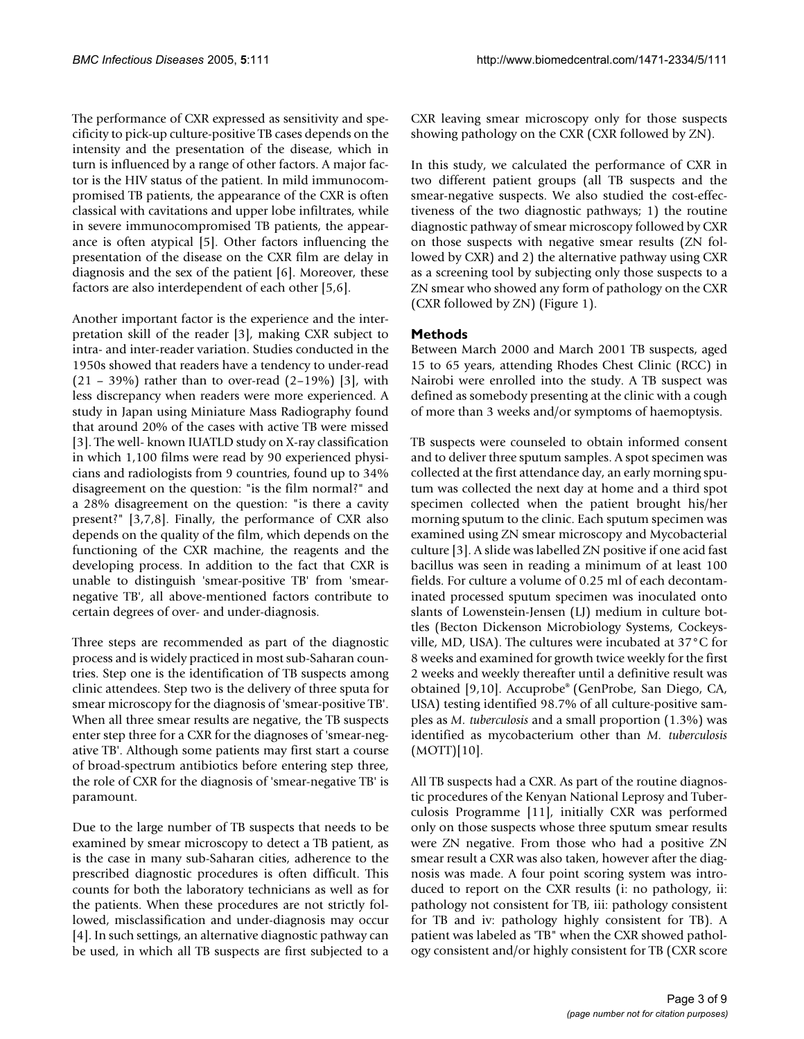The performance of CXR expressed as sensitivity and specificity to pick-up culture-positive TB cases depends on the intensity and the presentation of the disease, which in turn is influenced by a range of other factors. A major factor is the HIV status of the patient. In mild immunocompromised TB patients, the appearance of the CXR is often classical with cavitations and upper lobe infiltrates, while in severe immunocompromised TB patients, the appearance is often atypical [5]. Other factors influencing the presentation of the disease on the CXR film are delay in diagnosis and the sex of the patient [6]. Moreover, these factors are also interdependent of each other [5,6].

Another important factor is the experience and the interpretation skill of the reader [3], making CXR subject to intra- and inter-reader variation. Studies conducted in the 1950s showed that readers have a tendency to under-read  $(21 - 39%)$  rather than to over-read  $(2-19%)$  [3], with less discrepancy when readers were more experienced. A study in Japan using Miniature Mass Radiography found that around 20% of the cases with active TB were missed [3]. The well- known IUATLD study on X-ray classification in which 1,100 films were read by 90 experienced physicians and radiologists from 9 countries, found up to 34% disagreement on the question: "is the film normal?" and a 28% disagreement on the question: "is there a cavity present?" [3,7,8]. Finally, the performance of CXR also depends on the quality of the film, which depends on the functioning of the CXR machine, the reagents and the developing process. In addition to the fact that CXR is unable to distinguish 'smear-positive TB' from 'smearnegative TB', all above-mentioned factors contribute to certain degrees of over- and under-diagnosis.

Three steps are recommended as part of the diagnostic process and is widely practiced in most sub-Saharan countries. Step one is the identification of TB suspects among clinic attendees. Step two is the delivery of three sputa for smear microscopy for the diagnosis of 'smear-positive TB'. When all three smear results are negative, the TB suspects enter step three for a CXR for the diagnoses of 'smear-negative TB'. Although some patients may first start a course of broad-spectrum antibiotics before entering step three, the role of CXR for the diagnosis of 'smear-negative TB' is paramount.

Due to the large number of TB suspects that needs to be examined by smear microscopy to detect a TB patient, as is the case in many sub-Saharan cities, adherence to the prescribed diagnostic procedures is often difficult. This counts for both the laboratory technicians as well as for the patients. When these procedures are not strictly followed, misclassification and under-diagnosis may occur [4]. In such settings, an alternative diagnostic pathway can be used, in which all TB suspects are first subjected to a

CXR leaving smear microscopy only for those suspects showing pathology on the CXR (CXR followed by ZN).

In this study, we calculated the performance of CXR in two different patient groups (all TB suspects and the smear-negative suspects. We also studied the cost-effectiveness of the two diagnostic pathways; 1) the routine diagnostic pathway of smear microscopy followed by CXR on those suspects with negative smear results (ZN followed by CXR) and 2) the alternative pathway using CXR as a screening tool by subjecting only those suspects to a ZN smear who showed any form of pathology on the CXR (CXR followed by ZN) (Figure 1).

# **Methods**

Between March 2000 and March 2001 TB suspects, aged 15 to 65 years, attending Rhodes Chest Clinic (RCC) in Nairobi were enrolled into the study. A TB suspect was defined as somebody presenting at the clinic with a cough of more than 3 weeks and/or symptoms of haemoptysis.

TB suspects were counseled to obtain informed consent and to deliver three sputum samples. A spot specimen was collected at the first attendance day, an early morning sputum was collected the next day at home and a third spot specimen collected when the patient brought his/her morning sputum to the clinic. Each sputum specimen was examined using ZN smear microscopy and Mycobacterial culture [3]. A slide was labelled ZN positive if one acid fast bacillus was seen in reading a minimum of at least 100 fields. For culture a volume of 0.25 ml of each decontaminated processed sputum specimen was inoculated onto slants of Lowenstein-Jensen (LJ) medium in culture bottles (Becton Dickenson Microbiology Systems, Cockeysville, MD, USA). The cultures were incubated at 37°C for 8 weeks and examined for growth twice weekly for the first 2 weeks and weekly thereafter until a definitive result was obtained [9,10]. Accuprobe® (GenProbe, San Diego, CA, USA) testing identified 98.7% of all culture-positive samples as *M. tuberculosis* and a small proportion (1.3%) was identified as mycobacterium other than *M. tuberculosis*  $(MOTT)[10]$ .

All TB suspects had a CXR. As part of the routine diagnostic procedures of the Kenyan National Leprosy and Tuberculosis Programme [11], initially CXR was performed only on those suspects whose three sputum smear results were ZN negative. From those who had a positive ZN smear result a CXR was also taken, however after the diagnosis was made. A four point scoring system was introduced to report on the CXR results (i: no pathology, ii: pathology not consistent for TB, iii: pathology consistent for TB and iv: pathology highly consistent for TB). A patient was labeled as 'TB" when the CXR showed pathology consistent and/or highly consistent for TB (CXR score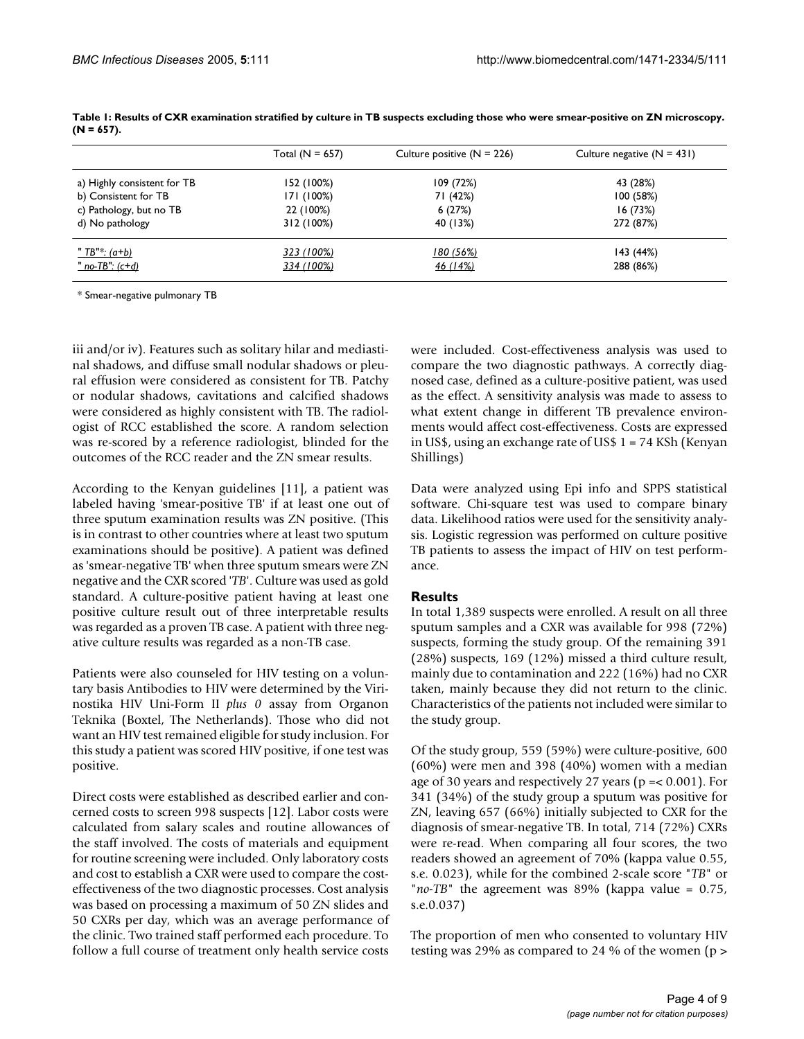|                             | Total $(N = 657)$ | Culture positive $(N = 226)$ | Culture negative $(N = 431)$ |
|-----------------------------|-------------------|------------------------------|------------------------------|
| a) Highly consistent for TB | 152 (100%)        | 109(72%)                     | 43 (28%)                     |
| b) Consistent for TB        | 171 (100%)        | 71 (42%)                     | 100(58%)                     |
| c) Pathology, but no TB     | 22 (100%)         | 6(27%)                       | 16(73%)                      |
| d) No pathology             | 312 (100%)        | 40 (13%)                     | 272 (87%)                    |
| <u>" TB"*: (a+b)</u>        | 323 (100%)        | <u>180 (56%)</u>             | 143 (44%)                    |
| <u>" no-TB": (c+d)</u>      | 334 (100%)        | <u>46 (14%)</u>              | 288 (86%)                    |

**Table 1: Results of CXR examination stratified by culture in TB suspects excluding those who were smear-positive on ZN microscopy. (N = 657).**

\* Smear-negative pulmonary TB

iii and/or iv). Features such as solitary hilar and mediastinal shadows, and diffuse small nodular shadows or pleural effusion were considered as consistent for TB. Patchy or nodular shadows, cavitations and calcified shadows were considered as highly consistent with TB. The radiologist of RCC established the score. A random selection was re-scored by a reference radiologist, blinded for the outcomes of the RCC reader and the ZN smear results.

According to the Kenyan guidelines [11], a patient was labeled having 'smear-positive TB' if at least one out of three sputum examination results was ZN positive. (This is in contrast to other countries where at least two sputum examinations should be positive). A patient was defined as 'smear-negative TB' when three sputum smears were ZN negative and the CXR scored '*TB*'. Culture was used as gold standard. A culture-positive patient having at least one positive culture result out of three interpretable results was regarded as a proven TB case. A patient with three negative culture results was regarded as a non-TB case.

Patients were also counseled for HIV testing on a voluntary basis Antibodies to HIV were determined by the Virinostika HIV Uni-Form II *plus 0* assay from Organon Teknika (Boxtel, The Netherlands). Those who did not want an HIV test remained eligible for study inclusion. For this study a patient was scored HIV positive, if one test was positive.

Direct costs were established as described earlier and concerned costs to screen 998 suspects [12]. Labor costs were calculated from salary scales and routine allowances of the staff involved. The costs of materials and equipment for routine screening were included. Only laboratory costs and cost to establish a CXR were used to compare the costeffectiveness of the two diagnostic processes. Cost analysis was based on processing a maximum of 50 ZN slides and 50 CXRs per day, which was an average performance of the clinic. Two trained staff performed each procedure. To follow a full course of treatment only health service costs were included. Cost-effectiveness analysis was used to compare the two diagnostic pathways. A correctly diagnosed case, defined as a culture-positive patient, was used as the effect. A sensitivity analysis was made to assess to what extent change in different TB prevalence environments would affect cost-effectiveness. Costs are expressed in US\$, using an exchange rate of US\$ 1 = 74 KSh (Kenyan Shillings)

Data were analyzed using Epi info and SPPS statistical software. Chi-square test was used to compare binary data. Likelihood ratios were used for the sensitivity analysis. Logistic regression was performed on culture positive TB patients to assess the impact of HIV on test performance.

# **Results**

In total 1,389 suspects were enrolled. A result on all three sputum samples and a CXR was available for 998 (72%) suspects, forming the study group. Of the remaining 391 (28%) suspects, 169 (12%) missed a third culture result, mainly due to contamination and 222 (16%) had no CXR taken, mainly because they did not return to the clinic. Characteristics of the patients not included were similar to the study group.

Of the study group, 559 (59%) were culture-positive, 600 (60%) were men and 398 (40%) women with a median age of 30 years and respectively 27 years ( $p = 0.001$ ). For 341 (34%) of the study group a sputum was positive for ZN, leaving 657 (66%) initially subjected to CXR for the diagnosis of smear-negative TB. In total, 714 (72%) CXRs were re-read. When comparing all four scores, the two readers showed an agreement of 70% (kappa value 0.55, s.e. 0.023), while for the combined 2-scale score "*TB*" or "*no-TB*" the agreement was 89% (kappa value = 0.75, s.e.0.037)

The proportion of men who consented to voluntary HIV testing was 29% as compared to 24 % of the women (p >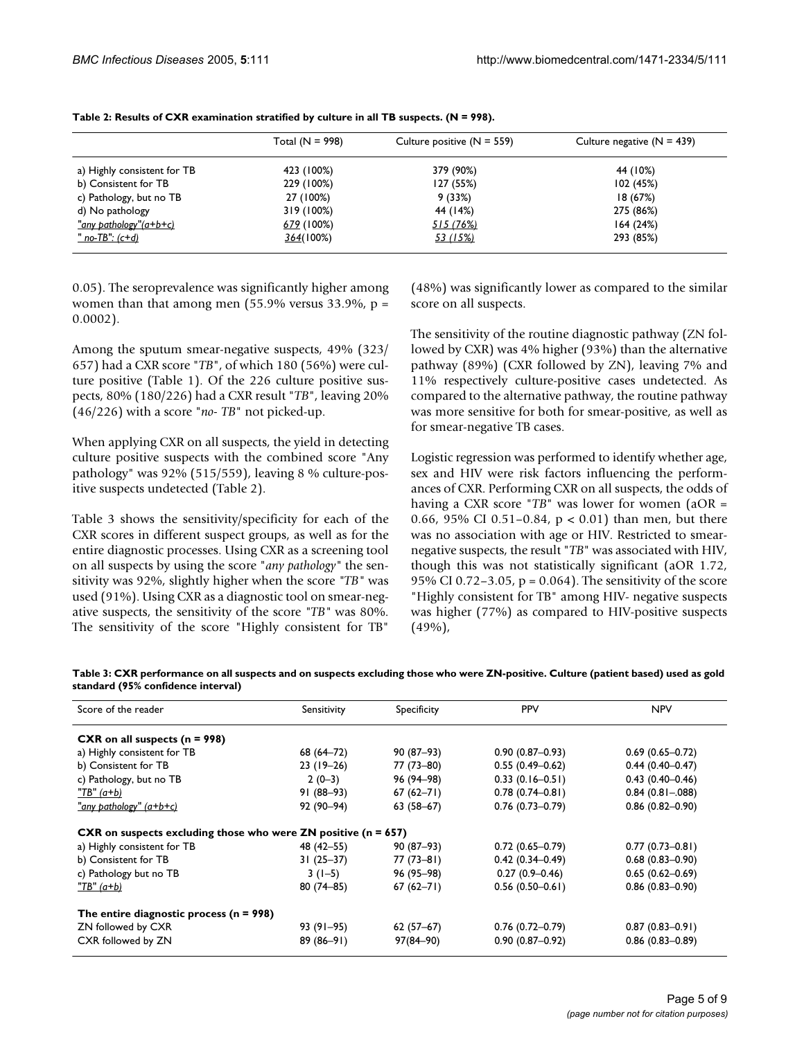|                             | Total $(N = 998)$ | Culture positive $(N = 559)$ | Culture negative $(N = 439)$ |
|-----------------------------|-------------------|------------------------------|------------------------------|
| a) Highly consistent for TB | 423 (100%)        | 379 (90%)                    | 44 (10%)                     |
| b) Consistent for TB        | 229 (100%)        | 127 (55%)                    | 102(45%)                     |
| c) Pathology, but no TB     | 27 (100%)         | 9(33%)                       | 18 (67%)                     |
| d) No pathology             | 319 (100%)        | 44 (14%)                     | 275 (86%)                    |
| "any pathology"(a+b+c)      | 679 (100%)        | <u>515 (76%)</u>             | 164(24%)                     |
| <u>" no-TB": (c+d)</u>      | 364(100%)         | 53 (15%)                     | 293 (85%)                    |

**Table 2: Results of CXR examination stratified by culture in all TB suspects. (N = 998).**

0.05). The seroprevalence was significantly higher among women than that among men  $(55.9\% \text{ versus } 33.9\% , p =$ 0.0002).

Among the sputum smear-negative suspects, 49% (323/ 657) had a CXR score "*TB*", of which 180 (56%) were culture positive (Table 1). Of the 226 culture positive suspects, 80% (180/226) had a CXR result "*TB*", leaving 20% (46/226) with a score "*no- TB*" not picked-up.

When applying CXR on all suspects, the yield in detecting culture positive suspects with the combined score "Any pathology" was 92% (515/559), leaving 8 % culture-positive suspects undetected (Table 2).

Table 3 shows the sensitivity/specificity for each of the CXR scores in different suspect groups, as well as for the entire diagnostic processes. Using CXR as a screening tool on all suspects by using the score "*any pathology"* the sensitivity was 92%, slightly higher when the score *"TB"* was used (91%). Using CXR as a diagnostic tool on smear-negative suspects, the sensitivity of the score *"TB"* was 80%. The sensitivity of the score "Highly consistent for TB"

(48%) was significantly lower as compared to the similar score on all suspects.

The sensitivity of the routine diagnostic pathway (ZN followed by CXR) was 4% higher (93%) than the alternative pathway (89%) (CXR followed by ZN), leaving 7% and 11% respectively culture-positive cases undetected. As compared to the alternative pathway, the routine pathway was more sensitive for both for smear-positive, as well as for smear-negative TB cases.

Logistic regression was performed to identify whether age, sex and HIV were risk factors influencing the performances of CXR. Performing CXR on all suspects, the odds of having a CXR score "*TB*" was lower for women (aOR = 0.66, 95% CI 0.51–0.84, p < 0.01) than men, but there was no association with age or HIV. Restricted to smearnegative suspects, the result "*TB*" was associated with HIV, though this was not statistically significant (aOR 1.72, 95% CI 0.72–3.05, p = 0.064). The sensitivity of the score "Highly consistent for TB" among HIV- negative suspects was higher (77%) as compared to HIV-positive suspects (49%),

|                                    |  | Table 3: CXR performance on all suspects and on suspects excluding those who were ZN-positive. Culture (patient based) used as gold |
|------------------------------------|--|-------------------------------------------------------------------------------------------------------------------------------------|
| standard (95% confidence interval) |  |                                                                                                                                     |

| Score of the reader                                                  | Sensitivity   | Specificity   | <b>PPV</b>          | <b>NPV</b>          |
|----------------------------------------------------------------------|---------------|---------------|---------------------|---------------------|
| CXR on all suspects ( $n = 998$ )                                    |               |               |                     |                     |
| a) Highly consistent for TB                                          | $68(64 - 72)$ | $90(87-93)$   | $0.90(0.87-0.93)$   | $0.69(0.65 - 0.72)$ |
| b) Consistent for TB                                                 | $23(19-26)$   | 77 (73–80)    | $0.55(0.49 - 0.62)$ | $0.44(0.40-0.47)$   |
| c) Pathology, but no TB                                              | $2(0-3)$      | 96 (94–98)    | $0.33(0.16 - 0.51)$ | $0.43(0.40 - 0.46)$ |
| <u>"TB" (a+b)</u>                                                    | 91 (88-93)    | $67(62 - 71)$ | $0.78(0.74 - 0.81)$ | $0.84(0.81 - .088)$ |
| "any pathology" (a+b+c)                                              | $92(90-94)$   | $63(58-67)$   | $0.76(0.73 - 0.79)$ | $0.86(0.82 - 0.90)$ |
| CXR on suspects excluding those who were $ZN$ positive ( $n = 657$ ) |               |               |                     |                     |
| a) Highly consistent for TB                                          | 48 (42–55)    | $90(87-93)$   | $0.72(0.65 - 0.79)$ | $0.77(0.73 - 0.81)$ |
| b) Consistent for TB                                                 | $31(25-37)$   | $77(73-81)$   | $0.42(0.34 - 0.49)$ | $0.68(0.83 - 0.90)$ |
| c) Pathology but no TB                                               | $3(1-5)$      | 96 (95–98)    | $0.27(0.9 - 0.46)$  | $0.65(0.62 - 0.69)$ |
| <u>"TB" (a+b)</u>                                                    | $80(74 - 85)$ | $67(62 - 71)$ | $0.56(0.50 - 0.61)$ | $0.86(0.83 - 0.90)$ |
| The entire diagnostic process $(n = 998)$                            |               |               |                     |                     |
| ZN followed by CXR                                                   | 93 (91–95)    | $62(57-67)$   | $0.76(0.72 - 0.79)$ | $0.87(0.83 - 0.91)$ |
| CXR followed by ZN                                                   | $89(86-91)$   | $97(84 - 90)$ | $0.90(0.87 - 0.92)$ | $0.86(0.83 - 0.89)$ |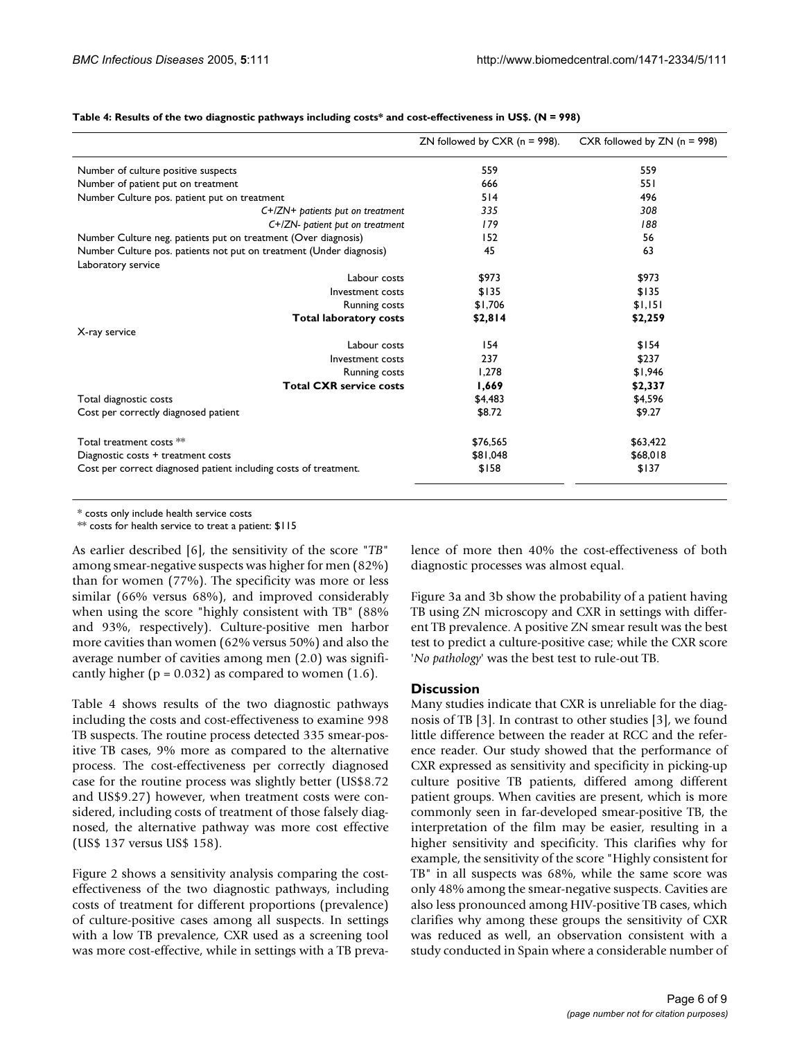|                                                                     | ZN followed by CXR ( $n = 998$ ). | CXR followed by $ZN(n = 998)$ |
|---------------------------------------------------------------------|-----------------------------------|-------------------------------|
| Number of culture positive suspects                                 | 559                               | 559                           |
| Number of patient put on treatment                                  | 666                               | 55 I                          |
| Number Culture pos. patient put on treatment                        | 514                               | 496                           |
| $C+/ZN+$ patients put on treatment                                  | 335                               | 308                           |
| $C+/ZN$ - patient put on treatment                                  | 179                               | 188                           |
| Number Culture neg. patients put on treatment (Over diagnosis)      | 152                               | 56                            |
| Number Culture pos. patients not put on treatment (Under diagnosis) | 45                                | 63                            |
| Laboratory service                                                  |                                   |                               |
| Labour costs                                                        | \$973                             | \$973                         |
| Investment costs                                                    | \$135                             | \$135                         |
| <b>Running costs</b>                                                | \$1,706                           | \$1,151                       |
| <b>Total laboratory costs</b>                                       | \$2,814                           | \$2,259                       |
| X-ray service                                                       |                                   |                               |
| Labour costs                                                        | 154                               | \$154                         |
| Investment costs                                                    | 237                               | \$237                         |
| <b>Running costs</b>                                                | 1,278                             | \$1,946                       |
| <b>Total CXR service costs</b>                                      | 1,669                             | \$2,337                       |
| Total diagnostic costs                                              | \$4,483                           | \$4,596                       |
| Cost per correctly diagnosed patient                                | \$8.72                            | \$9.27                        |
| Total treatment costs **                                            | \$76,565                          | \$63,422                      |
| Diagnostic costs + treatment costs                                  | \$81,048                          | \$68,018                      |
| Cost per correct diagnosed patient including costs of treatment.    | \$158                             | \$137                         |

#### **Table 4: Results of the two diagnostic pathways including costs\* and cost-effectiveness in US\$. (N = 998)**

\* costs only include health service costs

\*\* costs for health service to treat a patient: \$115

As earlier described [6], the sensitivity of the score "*TB*" among smear-negative suspects was higher for men (82%) than for women (77%). The specificity was more or less similar (66% versus 68%), and improved considerably when using the score "highly consistent with TB" (88% and 93%, respectively). Culture-positive men harbor more cavities than women (62% versus 50%) and also the average number of cavities among men (2.0) was significantly higher ( $p = 0.032$ ) as compared to women (1.6).

Table 4 shows results of the two diagnostic pathways including the costs and cost-effectiveness to examine 998 TB suspects. The routine process detected 335 smear-positive TB cases, 9% more as compared to the alternative process. The cost-effectiveness per correctly diagnosed case for the routine process was slightly better (US\$8.72 and US\$9.27) however, when treatment costs were considered, including costs of treatment of those falsely diagnosed, the alternative pathway was more cost effective (US\$ 137 versus US\$ 158).

Figure 2 shows a sensitivity analysis comparing the costeffectiveness of the two diagnostic pathways, including costs of treatment for different proportions (prevalence) of culture-positive cases among all suspects. In settings with a low TB prevalence, CXR used as a screening tool was more cost-effective, while in settings with a TB prevalence of more then 40% the cost-effectiveness of both diagnostic processes was almost equal.

Figure 3a and 3b show the probability of a patient having TB using ZN microscopy and CXR in settings with different TB prevalence. A positive ZN smear result was the best test to predict a culture-positive case; while the CXR score '*No pathology*' was the best test to rule-out TB.

# **Discussion**

Many studies indicate that CXR is unreliable for the diagnosis of TB [3]. In contrast to other studies [3], we found little difference between the reader at RCC and the reference reader. Our study showed that the performance of CXR expressed as sensitivity and specificity in picking-up culture positive TB patients, differed among different patient groups. When cavities are present, which is more commonly seen in far-developed smear-positive TB, the interpretation of the film may be easier, resulting in a higher sensitivity and specificity. This clarifies why for example, the sensitivity of the score "Highly consistent for TB" in all suspects was 68%, while the same score was only 48% among the smear-negative suspects. Cavities are also less pronounced among HIV-positive TB cases, which clarifies why among these groups the sensitivity of CXR was reduced as well, an observation consistent with a study conducted in Spain where a considerable number of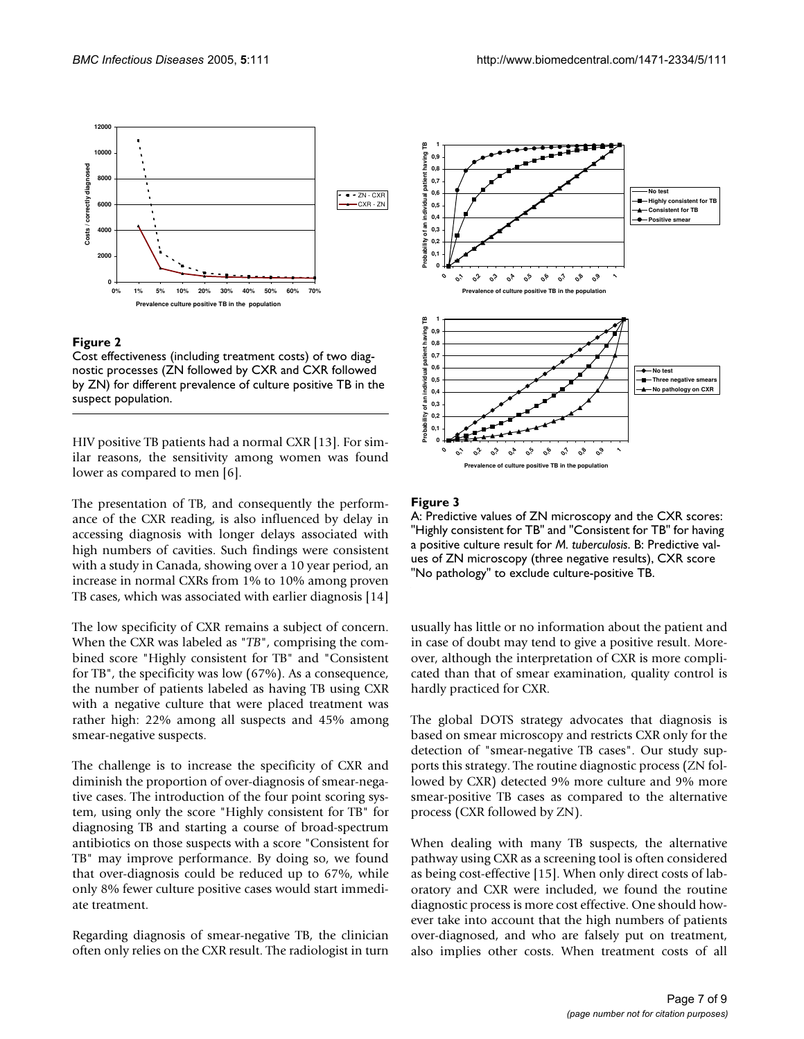

#### Figure 2

Cost effectiveness (including treatment costs) of two diagnostic processes (ZN followed by CXR and CXR followed by ZN) for different prevalence of culture positive TB in the suspect population.

HIV positive TB patients had a normal CXR [13]. For similar reasons, the sensitivity among women was found lower as compared to men [6].

The presentation of TB, and consequently the performance of the CXR reading, is also influenced by delay in accessing diagnosis with longer delays associated with high numbers of cavities. Such findings were consistent with a study in Canada, showing over a 10 year period, an increase in normal CXRs from 1% to 10% among proven TB cases, which was associated with earlier diagnosis [14]

The low specificity of CXR remains a subject of concern. When the CXR was labeled as "*TB*", comprising the combined score "Highly consistent for TB" and "Consistent for TB", the specificity was low (67%). As a consequence, the number of patients labeled as having TB using CXR with a negative culture that were placed treatment was rather high: 22% among all suspects and 45% among smear-negative suspects.

The challenge is to increase the specificity of CXR and diminish the proportion of over-diagnosis of smear-negative cases. The introduction of the four point scoring system, using only the score "Highly consistent for TB" for diagnosing TB and starting a course of broad-spectrum antibiotics on those suspects with a score "Consistent for TB" may improve performance. By doing so, we found that over-diagnosis could be reduced up to 67%, while only 8% fewer culture positive cases would start immediate treatment.

Regarding diagnosis of smear-negative TB, the clinician often only relies on the CXR result. The radiologist in turn



#### Figure 3

A: Predictive values of ZN microscopy and the CXR scores: "Highly consistent for TB" and "Consistent for TB" for having a positive culture result for *M. tuberculosis*. B: Predictive values of ZN microscopy (three negative results), CXR score "No pathology" to exclude culture-positive TB.

usually has little or no information about the patient and in case of doubt may tend to give a positive result. Moreover, although the interpretation of CXR is more complicated than that of smear examination, quality control is hardly practiced for CXR.

The global DOTS strategy advocates that diagnosis is based on smear microscopy and restricts CXR only for the detection of "smear-negative TB cases". Our study supports this strategy. The routine diagnostic process (ZN followed by CXR) detected 9% more culture and 9% more smear-positive TB cases as compared to the alternative process (CXR followed by ZN).

When dealing with many TB suspects, the alternative pathway using CXR as a screening tool is often considered as being cost-effective [15]. When only direct costs of laboratory and CXR were included, we found the routine diagnostic process is more cost effective. One should however take into account that the high numbers of patients over-diagnosed, and who are falsely put on treatment, also implies other costs. When treatment costs of all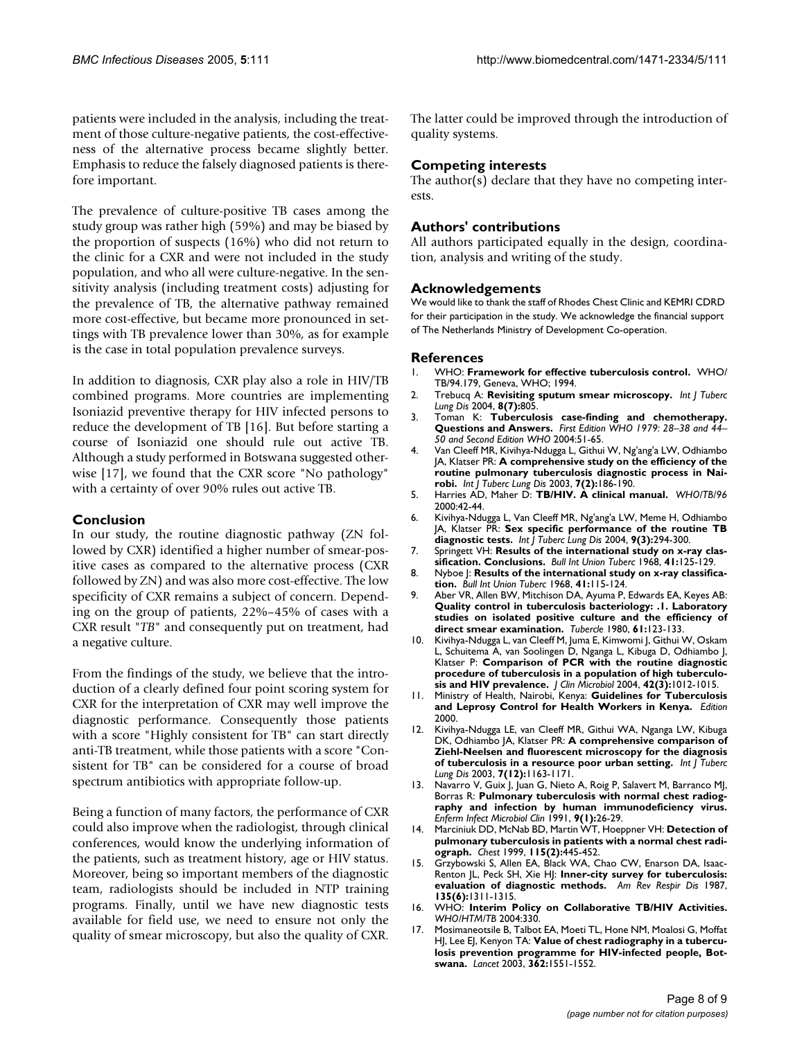patients were included in the analysis, including the treatment of those culture-negative patients, the cost-effectiveness of the alternative process became slightly better. Emphasis to reduce the falsely diagnosed patients is therefore important.

The prevalence of culture-positive TB cases among the study group was rather high (59%) and may be biased by the proportion of suspects (16%) who did not return to the clinic for a CXR and were not included in the study population, and who all were culture-negative. In the sensitivity analysis (including treatment costs) adjusting for the prevalence of TB, the alternative pathway remained more cost-effective, but became more pronounced in settings with TB prevalence lower than 30%, as for example is the case in total population prevalence surveys.

In addition to diagnosis, CXR play also a role in HIV/TB combined programs. More countries are implementing Isoniazid preventive therapy for HIV infected persons to reduce the development of TB [16]. But before starting a course of Isoniazid one should rule out active TB. Although a study performed in Botswana suggested otherwise [17], we found that the CXR score "No pathology" with a certainty of over 90% rules out active TB.

#### **Conclusion**

In our study, the routine diagnostic pathway (ZN followed by CXR) identified a higher number of smear-positive cases as compared to the alternative process (CXR followed by ZN) and was also more cost-effective. The low specificity of CXR remains a subject of concern. Depending on the group of patients, 22%–45% of cases with a CXR result "*TB*" and consequently put on treatment, had a negative culture.

From the findings of the study, we believe that the introduction of a clearly defined four point scoring system for CXR for the interpretation of CXR may well improve the diagnostic performance. Consequently those patients with a score "Highly consistent for TB" can start directly anti-TB treatment, while those patients with a score "Consistent for TB" can be considered for a course of broad spectrum antibiotics with appropriate follow-up.

Being a function of many factors, the performance of CXR could also improve when the radiologist, through clinical conferences, would know the underlying information of the patients, such as treatment history, age or HIV status. Moreover, being so important members of the diagnostic team, radiologists should be included in NTP training programs. Finally, until we have new diagnostic tests available for field use, we need to ensure not only the quality of smear microscopy, but also the quality of CXR. The latter could be improved through the introduction of quality systems.

#### **Competing interests**

The author(s) declare that they have no competing interests.

#### **Authors' contributions**

All authors participated equally in the design, coordination, analysis and writing of the study.

#### **Acknowledgements**

We would like to thank the staff of Rhodes Chest Clinic and KEMRI CDRD for their participation in the study. We acknowledge the financial support of The Netherlands Ministry of Development Co-operation.

#### **References**

- 1. WHO: **Framework for effective tuberculosis control.** WHO/ TB/94.179, Geneva, WHO; 1994.
- 2. Trebucq A: **[Revisiting sputum smear microscopy.](http://www.ncbi.nlm.nih.gov/entrez/query.fcgi?cmd=Retrieve&db=PubMed&dopt=Abstract&list_uids=15260269)** *Int J Tuberc Lung Dis* 2004, **8(7):**805.
- 3. Toman K: **Tuberculosis case-finding and chemotherapy. Questions and Answers.** *First Edition WHO 1979: 28–38 and 44– 50 and Second Edition WHO* 2004:51-65.
- 4. Van Cleeff MR, Kivihya-Ndugga L, Githui W, Ng'ang'a LW, Odhiambo JA, Klatser PR: **[A comprehensive study on the efficiency of the](http://www.ncbi.nlm.nih.gov/entrez/query.fcgi?cmd=Retrieve&db=PubMed&dopt=Abstract&list_uids=12588021) [routine pulmonary tuberculosis diagnostic process in Nai](http://www.ncbi.nlm.nih.gov/entrez/query.fcgi?cmd=Retrieve&db=PubMed&dopt=Abstract&list_uids=12588021)[robi.](http://www.ncbi.nlm.nih.gov/entrez/query.fcgi?cmd=Retrieve&db=PubMed&dopt=Abstract&list_uids=12588021)** *Int J Tuberc Lung Dis* 2003, **7(2):**186-190.
- 5. Harries AD, Maher D: **TB/HIV. A clinical manual.** *WHO/TB/96* 2000:42-44.
- 6. Kivihya-Ndugga L, Van Cleeff MR, Ng'ang'a LW, Meme H, Odhiambo JA, Klatser PR: **[Sex specific performance of the routine TB](http://www.ncbi.nlm.nih.gov/entrez/query.fcgi?cmd=Retrieve&db=PubMed&dopt=Abstract&list_uids=15786893) [diagnostic tests.](http://www.ncbi.nlm.nih.gov/entrez/query.fcgi?cmd=Retrieve&db=PubMed&dopt=Abstract&list_uids=15786893)** *Int J Tuberc Lung Dis* 2004, **9(3):**294-300.
- 7. Springett VH: **[Results of the international study on x-ray clas](http://www.ncbi.nlm.nih.gov/entrez/query.fcgi?cmd=Retrieve&db=PubMed&dopt=Abstract&list_uids=5710245)[sification. Conclusions.](http://www.ncbi.nlm.nih.gov/entrez/query.fcgi?cmd=Retrieve&db=PubMed&dopt=Abstract&list_uids=5710245)** *Bull Int Union Tuberc* 1968, **41:**125-129.
- 8. Nyboe J: **[Results of the international study on x-ray classifica](http://www.ncbi.nlm.nih.gov/entrez/query.fcgi?cmd=Retrieve&db=PubMed&dopt=Abstract&list_uids=5710244)[tion.](http://www.ncbi.nlm.nih.gov/entrez/query.fcgi?cmd=Retrieve&db=PubMed&dopt=Abstract&list_uids=5710244)** *Bull Int Union Tuberc* 1968, **41:**115-124.
- 9. Aber VR, Allen BW, Mitchison DA, Ayuma P, Edwards EA, Keyes AB: **Quality control in tuberculosis bacteriology: .1. Laboratory [studies on isolated positive culture and the efficiency of](http://www.ncbi.nlm.nih.gov/entrez/query.fcgi?cmd=Retrieve&db=PubMed&dopt=Abstract&list_uids=6777919) [direct smear examination.](http://www.ncbi.nlm.nih.gov/entrez/query.fcgi?cmd=Retrieve&db=PubMed&dopt=Abstract&list_uids=6777919)** *Tubercle* 1980, **61:**123-133.
- 10. Kivihya-Ndugga L, van Cleeff M, Juma E, Kimwomi J, Githui W, Oskam L, Schuitema A, van Soolingen D, Nganga L, Kibuga D, Odhiambo J, Klatser P: **[Comparison of PCR with the routine diagnostic](http://www.ncbi.nlm.nih.gov/entrez/query.fcgi?cmd=Retrieve&db=PubMed&dopt=Abstract&list_uids=15004046) [procedure of tuberculosis in a population of high tuberculo](http://www.ncbi.nlm.nih.gov/entrez/query.fcgi?cmd=Retrieve&db=PubMed&dopt=Abstract&list_uids=15004046)[sis and HIV prevalence.](http://www.ncbi.nlm.nih.gov/entrez/query.fcgi?cmd=Retrieve&db=PubMed&dopt=Abstract&list_uids=15004046)** *J Clin Microbiol* 2004, **42(3):**1012-1015.
- 11. Ministry of Health, Nairobi, Kenya: **Guidelines for Tuberculosis and Leprosy Control for Health Workers in Kenya.** *Edition* 2000.
- 12. Kivihya-Ndugga LE, van Cleeff MR, Githui WA, Nganga LW, Kibuga DK, Odhiambo JA, Klatser PR: **[A comprehensive comparison of](http://www.ncbi.nlm.nih.gov/entrez/query.fcgi?cmd=Retrieve&db=PubMed&dopt=Abstract&list_uids=14677891) [Ziehl-Neelsen and fluorescent microscopy for the diagnosis](http://www.ncbi.nlm.nih.gov/entrez/query.fcgi?cmd=Retrieve&db=PubMed&dopt=Abstract&list_uids=14677891) [of tuberculosis in a resource poor urban setting.](http://www.ncbi.nlm.nih.gov/entrez/query.fcgi?cmd=Retrieve&db=PubMed&dopt=Abstract&list_uids=14677891)** *Int J Tuberc Lung Dis* 2003, **7(12):**1163-1171.
- Navarro V, Guix J, Juan G, Nieto A, Roig P, Salavert M, Barranco MJ, Borras R: **Pulmonary tuberculosis with normal chest radiography and infection by human immunodeficiency virus.** *Enferm Infect Microbiol Clin* 1991, **9(1):**26-29.
- 14. Marciniuk DD, McNab BD, Martin WT, Hoeppner VH: **[Detection of](http://www.ncbi.nlm.nih.gov/entrez/query.fcgi?cmd=Retrieve&db=PubMed&dopt=Abstract&list_uids=10027446) [pulmonary tuberculosis in patients with a normal chest radi](http://www.ncbi.nlm.nih.gov/entrez/query.fcgi?cmd=Retrieve&db=PubMed&dopt=Abstract&list_uids=10027446)[ograph.](http://www.ncbi.nlm.nih.gov/entrez/query.fcgi?cmd=Retrieve&db=PubMed&dopt=Abstract&list_uids=10027446)** *Chest* 1999, **115(2):**445-452.
- 15. Grzybowski S, Allen EA, Black WA, Chao CW, Enarson DA, Isaac-Renton JL, Peck SH, Xie HJ: **[Inner-city survey for tuberculosis:](http://www.ncbi.nlm.nih.gov/entrez/query.fcgi?cmd=Retrieve&db=PubMed&dopt=Abstract&list_uids=3109292) [evaluation of diagnostic methods.](http://www.ncbi.nlm.nih.gov/entrez/query.fcgi?cmd=Retrieve&db=PubMed&dopt=Abstract&list_uids=3109292)** *Am Rev Respir Dis* 1987, **135(6):**1311-1315.
- 16. WHO: **Interim Policy on Collaborative TB/HIV Activities.** *WHO/HTM/TB* 2004:330.
- 17. Mosimaneotsile B, Talbot EA, Moeti TL, Hone NM, Moalosi G, Moffat HJ, Lee EJ, Kenyon TA: **[Value of chest radiography in a tubercu](http://www.ncbi.nlm.nih.gov/entrez/query.fcgi?cmd=Retrieve&db=PubMed&dopt=Abstract&list_uids=14615113)[losis prevention programme for HIV-infected people, Bot](http://www.ncbi.nlm.nih.gov/entrez/query.fcgi?cmd=Retrieve&db=PubMed&dopt=Abstract&list_uids=14615113)[swana.](http://www.ncbi.nlm.nih.gov/entrez/query.fcgi?cmd=Retrieve&db=PubMed&dopt=Abstract&list_uids=14615113)** *Lancet* 2003, **362:**1551-1552.